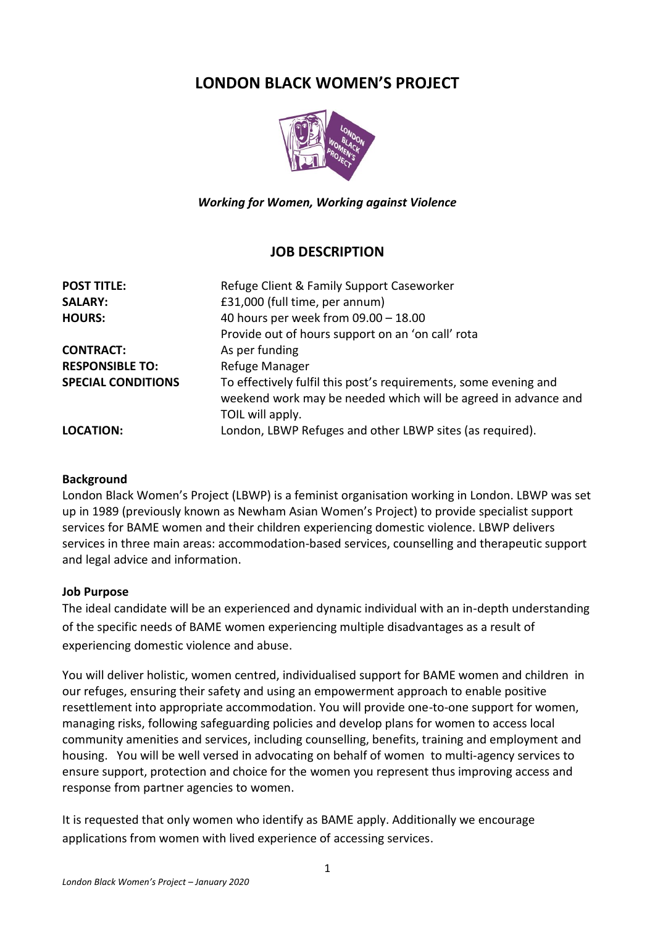# **LONDON BLACK WOMEN'S PROJECT**



*Working for Women, Working against Violence*

# **JOB DESCRIPTION**

| <b>POST TITLE:</b>        | Refuge Client & Family Support Caseworker                                                                                                              |  |
|---------------------------|--------------------------------------------------------------------------------------------------------------------------------------------------------|--|
| <b>SALARY:</b>            | £31,000 (full time, per annum)                                                                                                                         |  |
| <b>HOURS:</b>             | 40 hours per week from 09.00 - 18.00                                                                                                                   |  |
|                           | Provide out of hours support on an 'on call' rota                                                                                                      |  |
| <b>CONTRACT:</b>          | As per funding                                                                                                                                         |  |
| <b>RESPONSIBLE TO:</b>    | Refuge Manager                                                                                                                                         |  |
| <b>SPECIAL CONDITIONS</b> | To effectively fulfil this post's requirements, some evening and<br>weekend work may be needed which will be agreed in advance and<br>TOIL will apply. |  |
| <b>LOCATION:</b>          | London, LBWP Refuges and other LBWP sites (as required).                                                                                               |  |

#### **Background**

London Black Women's Project (LBWP) is a feminist organisation working in London. LBWP was set up in 1989 (previously known as Newham Asian Women's Project) to provide specialist support services for BAME women and their children experiencing domestic violence. LBWP delivers services in three main areas: accommodation-based services, counselling and therapeutic support and legal advice and information.

#### **Job Purpose**

The ideal candidate will be an experienced and dynamic individual with an in-depth understanding of the specific needs of BAME women experiencing multiple disadvantages as a result of experiencing domestic violence and abuse.

You will deliver holistic, women centred, individualised support for BAME women and children in our refuges, ensuring their safety and using an empowerment approach to enable positive resettlement into appropriate accommodation. You will provide one-to-one support for women, managing risks, following safeguarding policies and develop plans for women to access local community amenities and services, including counselling, benefits, training and employment and housing. You will be well versed in advocating on behalf of women to multi-agency services to ensure support, protection and choice for the women you represent thus improving access and response from partner agencies to women.

It is requested that only women who identify as BAME apply. Additionally we encourage applications from women with lived experience of accessing services.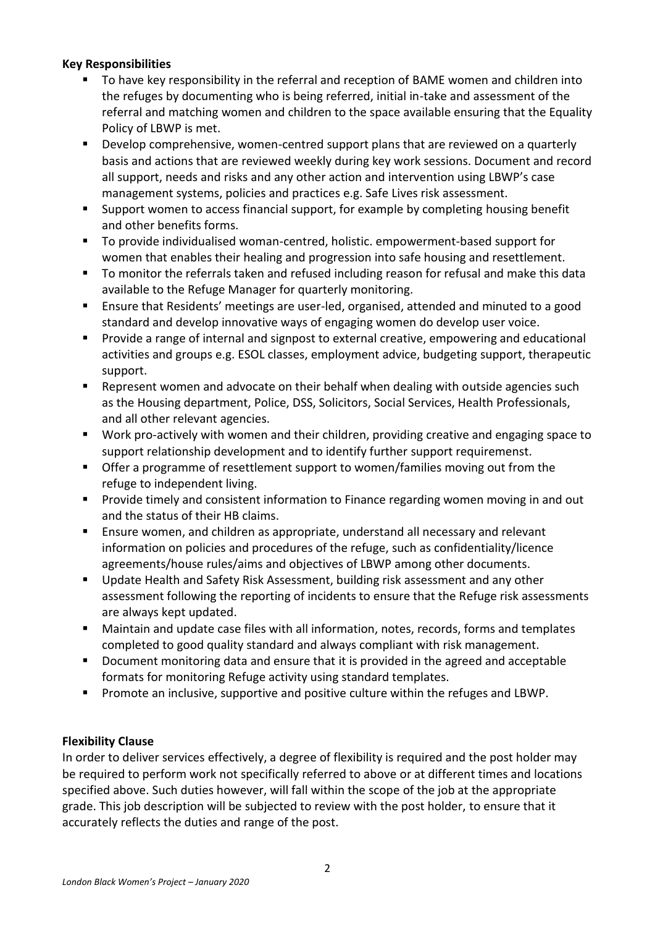### **Key Responsibilities**

- To have key responsibility in the referral and reception of BAME women and children into the refuges by documenting who is being referred, initial in-take and assessment of the referral and matching women and children to the space available ensuring that the Equality Policy of LBWP is met.
- **Develop comprehensive, women-centred support plans that are reviewed on a quarterly** basis and actions that are reviewed weekly during key work sessions. Document and record all support, needs and risks and any other action and intervention using LBWP's case management systems, policies and practices e.g. Safe Lives risk assessment.
- Support women to access financial support, for example by completing housing benefit and other benefits forms.
- To provide individualised woman-centred, holistic. empowerment-based support for women that enables their healing and progression into safe housing and resettlement.
- To monitor the referrals taken and refused including reason for refusal and make this data available to the Refuge Manager for quarterly monitoring.
- Ensure that Residents' meetings are user-led, organised, attended and minuted to a good standard and develop innovative ways of engaging women do develop user voice.
- **Provide a range of internal and signpost to external creative, empowering and educational** activities and groups e.g. ESOL classes, employment advice, budgeting support, therapeutic support.
- **E** Represent women and advocate on their behalf when dealing with outside agencies such as the Housing department, Police, DSS, Solicitors, Social Services, Health Professionals, and all other relevant agencies.
- Work pro-actively with women and their children, providing creative and engaging space to support relationship development and to identify further support requiremenst.
- Offer a programme of resettlement support to women/families moving out from the refuge to independent living.
- **Provide timely and consistent information to Finance regarding women moving in and out** and the status of their HB claims.
- Ensure women, and children as appropriate, understand all necessary and relevant information on policies and procedures of the refuge, such as confidentiality/licence agreements/house rules/aims and objectives of LBWP among other documents.
- Update Health and Safety Risk Assessment, building risk assessment and any other assessment following the reporting of incidents to ensure that the Refuge risk assessments are always kept updated.
- Maintain and update case files with all information, notes, records, forms and templates completed to good quality standard and always compliant with risk management.
- Document monitoring data and ensure that it is provided in the agreed and acceptable formats for monitoring Refuge activity using standard templates.
- Promote an inclusive, supportive and positive culture within the refuges and LBWP.

## **Flexibility Clause**

In order to deliver services effectively, a degree of flexibility is required and the post holder may be required to perform work not specifically referred to above or at different times and locations specified above. Such duties however, will fall within the scope of the job at the appropriate grade. This job description will be subjected to review with the post holder, to ensure that it accurately reflects the duties and range of the post.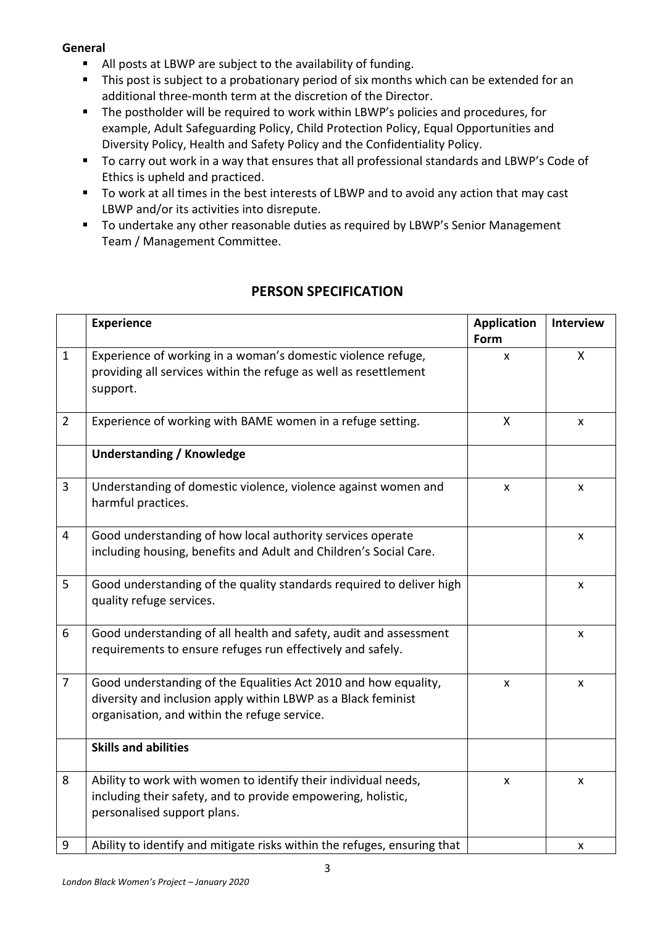#### **General**

- All posts at LBWP are subject to the availability of funding.
- This post is subject to a probationary period of six months which can be extended for an additional three-month term at the discretion of the Director.
- The postholder will be required to work within LBWP's policies and procedures, for example, Adult Safeguarding Policy, Child Protection Policy, Equal Opportunities and Diversity Policy, Health and Safety Policy and the Confidentiality Policy.
- To carry out work in a way that ensures that all professional standards and LBWP's Code of Ethics is upheld and practiced.
- To work at all times in the best interests of LBWP and to avoid any action that may cast LBWP and/or its activities into disrepute.
- To undertake any other reasonable duties as required by LBWP's Senior Management Team / Management Committee.

|                | <b>Experience</b>                                                                                                                                                                | <b>Application</b><br>Form | <b>Interview</b>   |
|----------------|----------------------------------------------------------------------------------------------------------------------------------------------------------------------------------|----------------------------|--------------------|
| $\mathbf{1}$   | Experience of working in a woman's domestic violence refuge,<br>providing all services within the refuge as well as resettlement<br>support.                                     | X                          | X                  |
| $\overline{2}$ | Experience of working with BAME women in a refuge setting.                                                                                                                       | X                          | X                  |
|                | <b>Understanding / Knowledge</b>                                                                                                                                                 |                            |                    |
| 3              | Understanding of domestic violence, violence against women and<br>harmful practices.                                                                                             | X                          | X                  |
| $\overline{4}$ | Good understanding of how local authority services operate<br>including housing, benefits and Adult and Children's Social Care.                                                  |                            | X                  |
| 5              | Good understanding of the quality standards required to deliver high<br>quality refuge services.                                                                                 |                            | X                  |
| 6              | Good understanding of all health and safety, audit and assessment<br>requirements to ensure refuges run effectively and safely.                                                  |                            | $\pmb{\mathsf{X}}$ |
| $\overline{7}$ | Good understanding of the Equalities Act 2010 and how equality,<br>diversity and inclusion apply within LBWP as a Black feminist<br>organisation, and within the refuge service. | X                          | X                  |
|                | <b>Skills and abilities</b>                                                                                                                                                      |                            |                    |
| 8              | Ability to work with women to identify their individual needs,<br>including their safety, and to provide empowering, holistic,<br>personalised support plans.                    | X                          | X                  |
| 9              | Ability to identify and mitigate risks within the refuges, ensuring that                                                                                                         |                            | X                  |